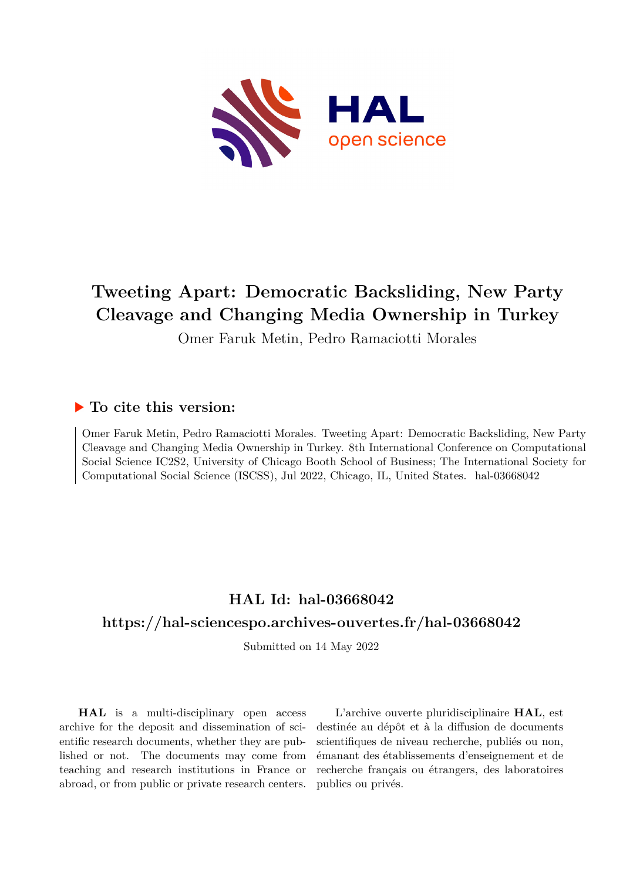

# **Tweeting Apart: Democratic Backsliding, New Party Cleavage and Changing Media Ownership in Turkey**

Omer Faruk Metin, Pedro Ramaciotti Morales

#### **To cite this version:**

Omer Faruk Metin, Pedro Ramaciotti Morales. Tweeting Apart: Democratic Backsliding, New Party Cleavage and Changing Media Ownership in Turkey. 8th International Conference on Computational Social Science IC2S2, University of Chicago Booth School of Business; The International Society for Computational Social Science (ISCSS), Jul 2022, Chicago, IL, United States. hal-03668042

## **HAL Id: hal-03668042**

## **<https://hal-sciencespo.archives-ouvertes.fr/hal-03668042>**

Submitted on 14 May 2022

**HAL** is a multi-disciplinary open access archive for the deposit and dissemination of scientific research documents, whether they are published or not. The documents may come from teaching and research institutions in France or abroad, or from public or private research centers.

L'archive ouverte pluridisciplinaire **HAL**, est destinée au dépôt et à la diffusion de documents scientifiques de niveau recherche, publiés ou non, émanant des établissements d'enseignement et de recherche français ou étrangers, des laboratoires publics ou privés.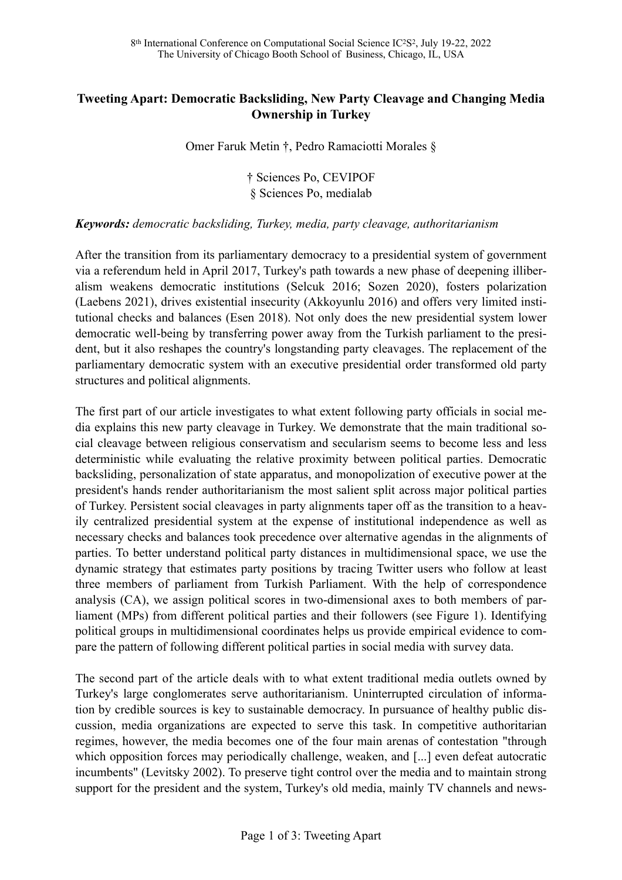#### **Tweeting Apart: Democratic Backsliding, New Party Cleavage and Changing Media Ownership in Turkey**

Omer Faruk Metin †, Pedro Ramaciotti Morales §

† Sciences Po, CEVIPOF § Sciences Po, medialab

#### *Keywords: democratic backsliding, Turkey, media, party cleavage, authoritarianism*

After the transition from its parliamentary democracy to a presidential system of government via a referendum held in April 2017, Turkey's path towards a new phase of deepening illiberalism weakens democratic institutions (Selcuk 2016; Sozen 2020), fosters polarization (Laebens 2021), drives existential insecurity (Akkoyunlu 2016) and offers very limited institutional checks and balances (Esen 2018). Not only does the new presidential system lower democratic well-being by transferring power away from the Turkish parliament to the president, but it also reshapes the country's longstanding party cleavages. The replacement of the parliamentary democratic system with an executive presidential order transformed old party structures and political alignments.

The first part of our article investigates to what extent following party officials in social media explains this new party cleavage in Turkey. We demonstrate that the main traditional social cleavage between religious conservatism and secularism seems to become less and less deterministic while evaluating the relative proximity between political parties. Democratic backsliding, personalization of state apparatus, and monopolization of executive power at the president's hands render authoritarianism the most salient split across major political parties of Turkey. Persistent social cleavages in party alignments taper off as the transition to a heavily centralized presidential system at the expense of institutional independence as well as necessary checks and balances took precedence over alternative agendas in the alignments of parties. To better understand political party distances in multidimensional space, we use the dynamic strategy that estimates party positions by tracing Twitter users who follow at least three members of parliament from Turkish Parliament. With the help of correspondence analysis (CA), we assign political scores in two-dimensional axes to both members of parliament (MPs) from different political parties and their followers (see Figure 1). Identifying political groups in multidimensional coordinates helps us provide empirical evidence to compare the pattern of following different political parties in social media with survey data.

The second part of the article deals with to what extent traditional media outlets owned by Turkey's large conglomerates serve authoritarianism. Uninterrupted circulation of information by credible sources is key to sustainable democracy. In pursuance of healthy public discussion, media organizations are expected to serve this task. In competitive authoritarian regimes, however, the media becomes one of the four main arenas of contestation "through which opposition forces may periodically challenge, weaken, and [...] even defeat autocratic incumbents" (Levitsky 2002). To preserve tight control over the media and to maintain strong support for the president and the system, Turkey's old media, mainly TV channels and news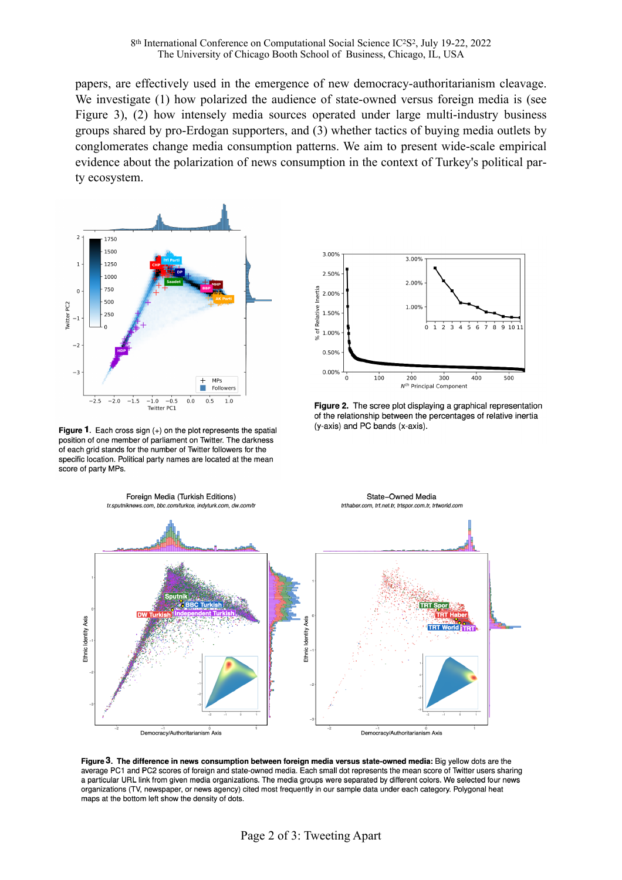papers, are effectively used in the emergence of new democracy-authoritarianism cleavage. We investigate (1) how polarized the audience of state-owned versus foreign media is (see Figure 3), (2) how intensely media sources operated under large multi-industry business groups shared by pro-Erdogan supporters, and (3) whether tactics of buying media outlets by conglomerates change media consumption patterns. We aim to present wide-scale empirical evidence about the polarization of news consumption in the context of Turkey's political party ecosystem.



Figure 1. Each cross sign  $(+)$  on the plot represents the spatial position of one member of parliament on Twitter. The darkness of each grid stands for the number of Twitter followers for the specific location. Political party names are located at the mean score of party MPs.



Figure 2. The scree plot displaying a graphical representation of the relationship between the percentages of relative inertia (y-axis) and PC bands (x-axis).



Figure 3. The difference in news consumption between foreign media versus state-owned media: Big yellow dots are the average PC1 and PC2 scores of foreign and state-owned media. Each small dot represents the mean score of Twitter users sharing a particular URL link from given media organizations. The media groups were separated by different colors. We selected four news organizations (TV, newspaper, or news agency) cited most frequently in our sample data under each category. Polygonal heat maps at the bottom left show the density of dots.